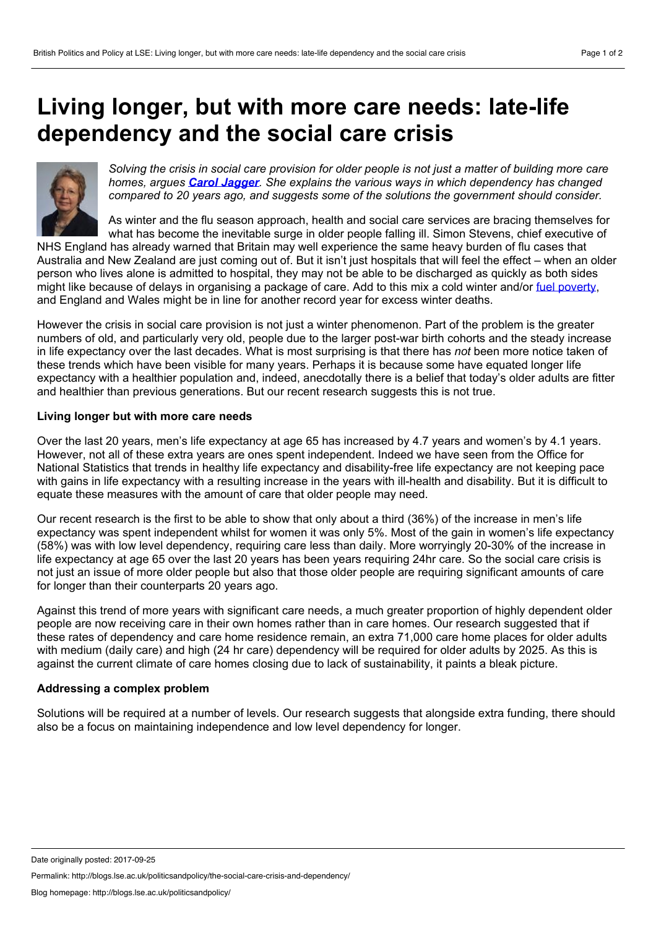## <span id="page-0-0"></span>**Living longer, but with more care needs: late-life dependency and the social care crisis**



Solving the crisis in social care provision for older people is not just a matter of building more care *homes, argues Carol [Jagger](#page-0-0). She explains the various ways in which dependency has changed compared to 20 years ago, and suggests some of the solutions the government should consider.*

As winter and the flu season approach, health and social care services are bracing themselves for what has become the inevitable surge in older people falling ill. Simon Stevens, chief executive of

NHS England has already warned that Britain may well experience the same heavy burden of flu cases that Australia and New Zealand are just coming out of. But it isn't just hospitals that will feel the effect – when an older person who lives alone is admitted to hospital, they may not be able to be discharged as quickly as both sides might like because of delays in organising a package of care. Add to this mix a cold winter and/or fuel [poverty,](http://blogs.lse.ac.uk/politicsandpolicy/addressing-fuel-poverty-in-england/) and England and Wales might be in line for another record year for excess winter deaths.

However the crisis in social care provision is not just a winter phenomenon. Part of the problem is the greater numbers of old, and particularly very old, people due to the larger post-war birth cohorts and the steady increase in life expectancy over the last decades. What is most surprising is that there has *not* been more notice taken of these trends which have been visible for many years. Perhaps it is because some have equated longer life expectancy with a healthier population and, indeed, anecdotally there is a belief that today's older adults are fitter and healthier than previous generations. But our recent research suggests this is not true.

## **Living longer but with more care needs**

Over the last 20 years, men's life expectancy at age 65 has increased by 4.7 years and women's by 4.1 years. However, not all of these extra years are ones spent independent. Indeed we have seen from the Office for National Statistics that trends in healthy life expectancy and disability-free life expectancy are not keeping pace with gains in life expectancy with a resulting increase in the years with ill-health and disability. But it is difficult to equate these measures with the amount of care that older people may need.

Our recent research is the first to be able to show that only about a third (36%) of the increase in men's life expectancy was spent independent whilst for women it was only 5%. Most of the gain in women's life expectancy (58%) was with low level dependency, requiring care less than daily. More worryingly 20-30% of the increase in life expectancy at age 65 over the last 20 years has been years requiring 24hr care. So the social care crisis is not just an issue of more older people but also that those older people are requiring significant amounts of care for longer than their counterparts 20 years ago.

Against this trend of more years with significant care needs, a much greater proportion of highly dependent older people are now receiving care in their own homes rather than in care homes. Our research suggested that if these rates of dependency and care home residence remain, an extra 71,000 care home places for older adults with medium (daily care) and high (24 hr care) dependency will be required for older adults by 2025. As this is against the current climate of care homes closing due to lack of sustainability, it paints a bleak picture.

## **Addressing acomplex problem**

Solutions will be required at a number of levels. Our research suggests that alongside extra funding, there should also be a focus on maintaining independence and low level dependency for longer.

Permalink: http://blogs.lse.ac.uk/politicsandpolicy/the-social-care-crisis-and-dependency/

Date originally posted: 2017-09-25